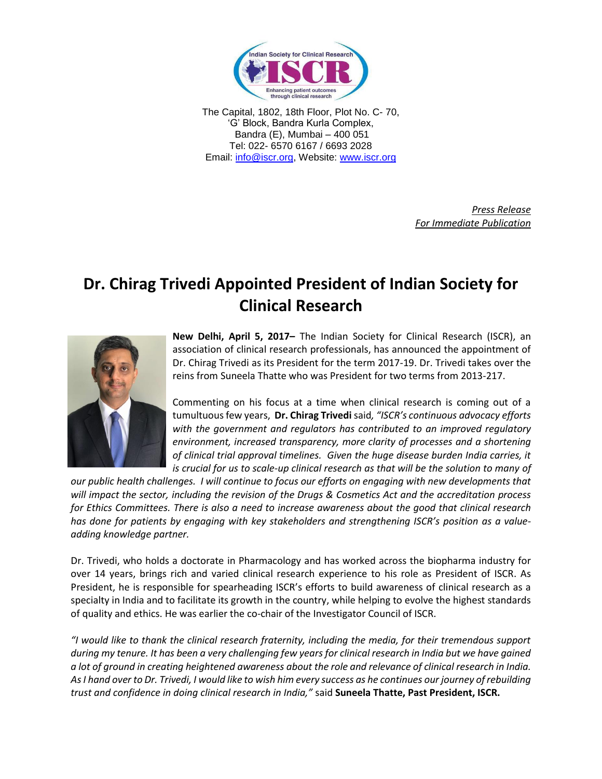

The Capital, 1802, 18th Floor, Plot No. C- 70, 'G' Block, Bandra Kurla Complex, Bandra (E), Mumbai – 400 051 Tel: 022- 6570 6167 / 6693 2028 Email: [info@iscr.org,](mailto:info@iscr.org) Website: www.iscr.org

> *Press Release For Immediate Publication*

## **Dr. Chirag Trivedi Appointed President of Indian Society for Clinical Research**



**New Delhi, April 5, 2017–** The Indian Society for Clinical Research (ISCR), an association of clinical research professionals, has announced the appointment of Dr. Chirag Trivedi as its President for the term 2017-19. Dr. Trivedi takes over the reins from Suneela Thatte who was President for two terms from 2013-217.

Commenting on his focus at a time when clinical research is coming out of a tumultuous few years, **Dr. Chirag Trivedi** said*, "ISCR's continuous advocacy efforts with the government and regulators has contributed to an improved regulatory environment, increased transparency, more clarity of processes and a shortening of clinical trial approval timelines. Given the huge disease burden India carries, it is crucial for us to scale-up clinical research as that will be the solution to many of* 

*our public health challenges. I will continue to focus our efforts on engaging with new developments that will impact the sector, including the revision of the Drugs & Cosmetics Act and the accreditation process for Ethics Committees. There is also a need to increase awareness about the good that clinical research*  has done for patients by engaging with key stakeholders and strengthening ISCR's position as a value*adding knowledge partner.*

Dr. Trivedi, who holds a doctorate in Pharmacology and has worked across the biopharma industry for over 14 years, brings rich and varied clinical research experience to his role as President of ISCR. As President, he is responsible for spearheading ISCR's efforts to build awareness of clinical research as a specialty in India and to facilitate its growth in the country, while helping to evolve the highest standards of quality and ethics. He was earlier the co-chair of the Investigator Council of ISCR.

*"I would like to thank the clinical research fraternity, including the media, for their tremendous support during my tenure. It has been a very challenging few years for clinical research in India but we have gained a lot of ground in creating heightened awareness about the role and relevance of clinical research in India. As I hand over to Dr. Trivedi, I would like to wish him every success as he continues our journey of rebuilding trust and confidence in doing clinical research in India,"* said **Suneela Thatte, Past President, ISCR.**